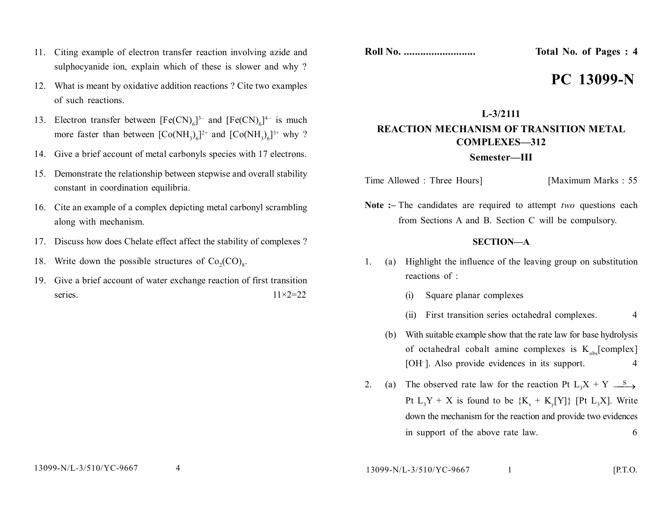- 11. Citing example of electron transfer reaction involving azide and sulphocyanide ion, explain which of these is slower and why?
- 12. What is meant by oxidative addition reactions ? Cite two examples of such reactions.
- 13. Electron transfer between  $[Fe(CN)_{6}]^{3-}$  and  $[Fe(CN)_{6}]^{4-}$  is much more faster than between  $[Co(NH_3)_6]^{2+}$  and  $[Co(NH_3)_6]^{3+}$  why ?
- 14. Give a brief account of metal carbonyls species with 17 electrons.
- 15. Demonstrate the relationship between stepwise and overall stability constant in coordination equilibria.
- 16. Cite an example of a complex depicting metal carbonyl scrambling along with mechanism.
- 17. Discuss how does Chelate effect affect the stability of complexes ?
- 18. Write down the possible structures of  $Co_2(CO)_8$ .
- 19. Give a brief account of water exchange reaction of first transition series.  $11\times2=22$

**Roll No. .......................... Total No. of Pages : 4**

# **PC 13099-N**

## **L-3/2111 REACTION MECHANISM OF TRANSITION METAL COMPLEXES—312 Semester—III**

Time Allowed : Three Hours] [Maximum Marks : 55

**Note :–** The candidates are required to attempt *two* questions each from Sections A and B. Section C will be compulsory.

#### **SECTION—A**

- 1. (a) Highlight the influence of the leaving group on substitution reactions of :
	- (i) Square planar complexes
	- (ii) First transition series octahedral complexes. 4
	- (b) With suitable example show that the rate law for base hydrolysis of octahedral cobalt amine complexes is  $K_{obs}$ [complex] [OH– ]. Also provide evidences in its support. 4
- 2. (a) The observed rate law for the reaction Pt  $L_3X + Y \longrightarrow$ Pt  $L_3Y + X$  is found to be  $\{K_s + K_y[Y]\}$  [Pt  $L_3X$ ]. Write down the mechanism for the reaction and provide two evidences in support of the above rate law. 6